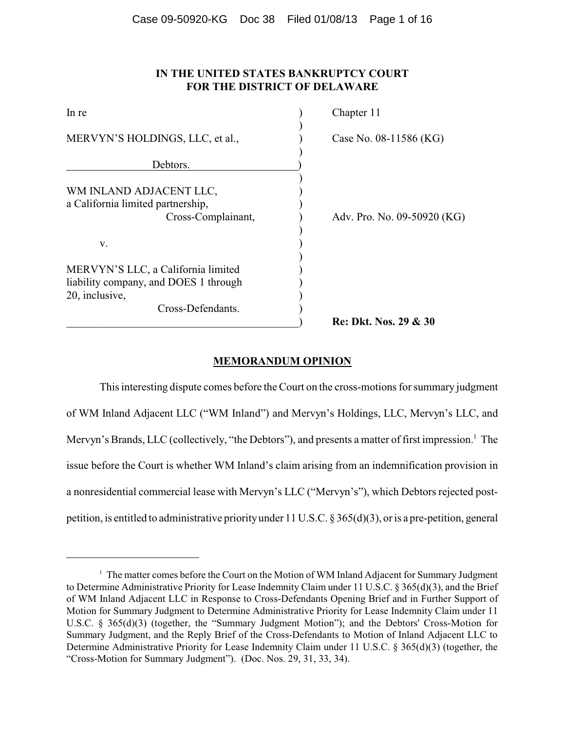# **IN THE UNITED STATES BANKRUPTCY COURT FOR THE DISTRICT OF DELAWARE**

| In re                                                                                                              | Chapter 11                  |
|--------------------------------------------------------------------------------------------------------------------|-----------------------------|
| MERVYN'S HOLDINGS, LLC, et al.,                                                                                    | Case No. 08-11586 (KG)      |
| Debtors.                                                                                                           |                             |
| WM INLAND ADJACENT LLC,<br>a California limited partnership,<br>Cross-Complainant,                                 | Adv. Pro. No. 09-50920 (KG) |
| V.                                                                                                                 |                             |
| MERVYN'S LLC, a California limited<br>liability company, and DOES 1 through<br>20, inclusive,<br>Cross-Defendants. |                             |
|                                                                                                                    | Re: Dkt. Nos. 29 & 30       |

## **MEMORANDUM OPINION**

This interesting dispute comes before the Court on the cross-motions for summary judgment of WM Inland Adjacent LLC ("WM Inland") and Mervyn's Holdings, LLC, Mervyn's LLC, and Mervyn's Brands, LLC (collectively, "the Debtors"), and presents a matter of first impression.<sup>1</sup> The issue before the Court is whether WM Inland's claim arising from an indemnification provision in a nonresidential commercial lease with Mervyn's LLC ("Mervyn's"), which Debtors rejected postpetition, is entitled to administrative priorityunder 11 U.S.C. § 365(d)(3), or is a pre-petition, general

<sup>&</sup>lt;sup>1</sup> The matter comes before the Court on the Motion of WM Inland Adjacent for Summary Judgment to Determine Administrative Priority for Lease Indemnity Claim under 11 U.S.C. § 365(d)(3), and the Brief of WM Inland Adjacent LLC in Response to Cross-Defendants Opening Brief and in Further Support of Motion for Summary Judgment to Determine Administrative Priority for Lease Indemnity Claim under 11 U.S.C. § 365(d)(3) (together, the "Summary Judgment Motion"); and the Debtors' Cross-Motion for Summary Judgment, and the Reply Brief of the Cross-Defendants to Motion of Inland Adjacent LLC to Determine Administrative Priority for Lease Indemnity Claim under 11 U.S.C. § 365(d)(3) (together, the "Cross-Motion for Summary Judgment"). (Doc. Nos. 29, 31, 33, 34).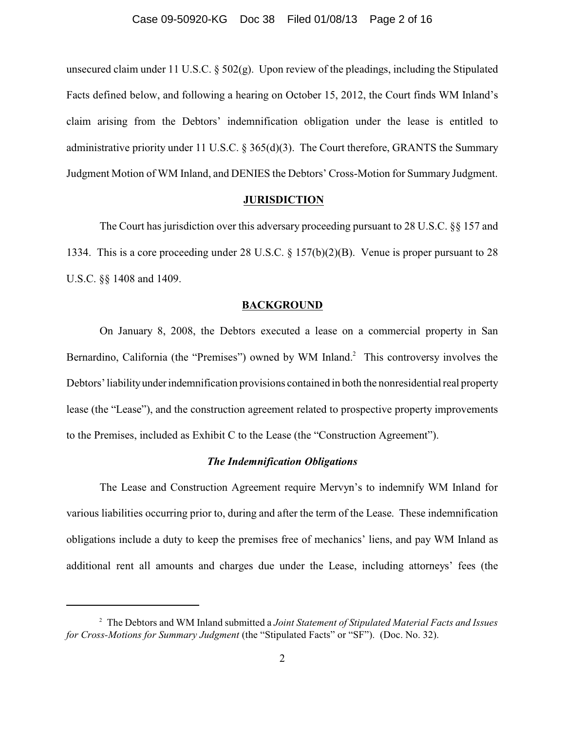unsecured claim under 11 U.S.C. § 502(g). Upon review of the pleadings, including the Stipulated Facts defined below, and following a hearing on October 15, 2012, the Court finds WM Inland's claim arising from the Debtors' indemnification obligation under the lease is entitled to administrative priority under 11 U.S.C. § 365(d)(3). The Court therefore, GRANTS the Summary Judgment Motion of WM Inland, and DENIES the Debtors' Cross-Motion for Summary Judgment.

### **JURISDICTION**

The Court has jurisdiction over this adversary proceeding pursuant to 28 U.S.C. §§ 157 and 1334. This is a core proceeding under 28 U.S.C. § 157(b)(2)(B). Venue is proper pursuant to 28 U.S.C. §§ 1408 and 1409.

#### **BACKGROUND**

On January 8, 2008, the Debtors executed a lease on a commercial property in San Bernardino, California (the "Premises") owned by WM Inland.<sup>2</sup> This controversy involves the Debtors'liabilityunderindemnification provisions contained in both the nonresidential real property lease (the "Lease"), and the construction agreement related to prospective property improvements to the Premises, included as Exhibit C to the Lease (the "Construction Agreement").

## *The Indemnification Obligations*

The Lease and Construction Agreement require Mervyn's to indemnify WM Inland for various liabilities occurring prior to, during and after the term of the Lease. These indemnification obligations include a duty to keep the premises free of mechanics' liens, and pay WM Inland as additional rent all amounts and charges due under the Lease, including attorneys' fees (the

The Debtors and WM Inland submitted a *Joint Statement of Stipulated Material Facts and Issues* 2 *for Cross-Motions for Summary Judgment* (the "Stipulated Facts" or "SF"). (Doc. No. 32).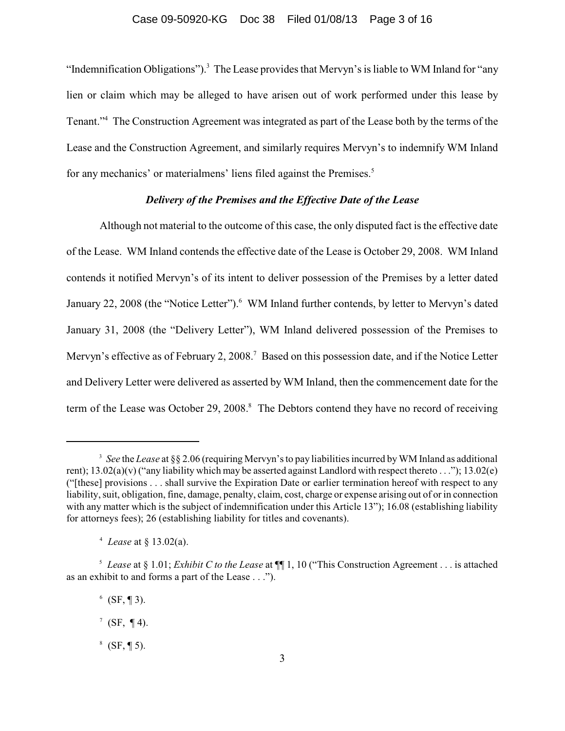"Indemnification Obligations").<sup>3</sup> The Lease provides that Mervyn's is liable to WM Inland for "any lien or claim which may be alleged to have arisen out of work performed under this lease by Tenant."<sup>4</sup> The Construction Agreement was integrated as part of the Lease both by the terms of the Lease and the Construction Agreement, and similarly requires Mervyn's to indemnify WM Inland for any mechanics' or materialmens' liens filed against the Premises.<sup>5</sup>

## *Delivery of the Premises and the Effective Date of the Lease*

Although not material to the outcome of this case, the only disputed fact is the effective date of the Lease. WM Inland contends the effective date of the Lease is October 29, 2008. WM Inland contends it notified Mervyn's of its intent to deliver possession of the Premises by a letter dated January 22, 2008 (the "Notice Letter").<sup>6</sup> WM Inland further contends, by letter to Mervyn's dated January 31, 2008 (the "Delivery Letter"), WM Inland delivered possession of the Premises to Mervyn's effective as of February 2, 2008.<sup>7</sup> Based on this possession date, and if the Notice Letter and Delivery Letter were delivered as asserted by WM Inland, then the commencement date for the term of the Lease was October 29, 2008.<sup>8</sup> The Debtors contend they have no record of receiving

 $6$  (SF, ¶ 3).

<sup>&</sup>lt;sup>3</sup> See the *Lease* at §§ 2.06 (requiring Mervyn's to pay liabilities incurred by WM Inland as additional rent);  $13.02(a)(v)$  ("any liability which may be asserted against Landlord with respect thereto . . .");  $13.02(e)$ ("[these] provisions . . . shall survive the Expiration Date or earlier termination hereof with respect to any liability, suit, obligation, fine, damage, penalty, claim, cost, charge or expense arising out of or in connection with any matter which is the subject of indemnification under this Article 13"); 16.08 (establishing liability for attorneys fees); 26 (establishing liability for titles and covenants).

*Lease* at § 13.02(a). 4

<sup>&</sup>lt;sup>5</sup> Lease at § 1.01; *Exhibit C to the Lease* at  $\P$  1, 10 ("This Construction Agreement . . . is attached as an exhibit to and forms a part of the Lease . . .").

 $^7$  (SF, ¶ 4).

 $8$  (SF, ¶ 5).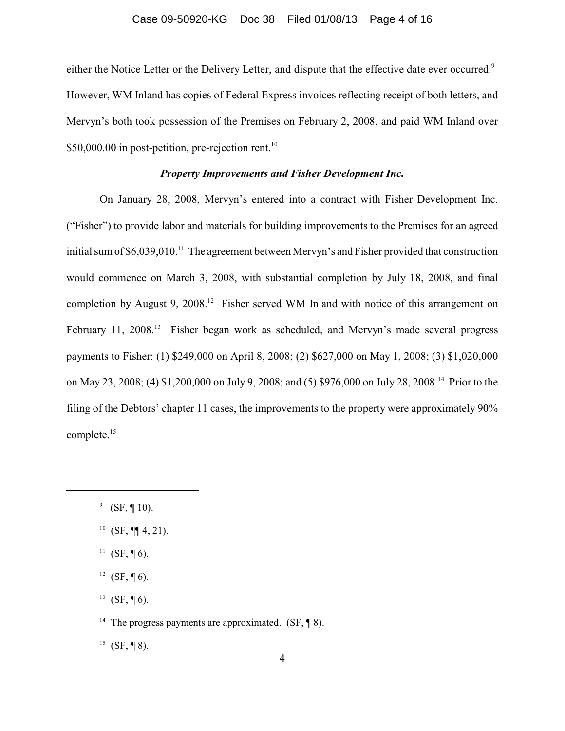### Case 09-50920-KG Doc 38 Filed 01/08/13 Page 4 of 16

either the Notice Letter or the Delivery Letter, and dispute that the effective date ever occurred.<sup>9</sup> However, WM Inland has copies of Federal Express invoices reflecting receipt of both letters, and Mervyn's both took possession of the Premises on February 2, 2008, and paid WM Inland over \$50,000.00 in post-petition, pre-rejection rent.<sup>10</sup>

## *Property Improvements and Fisher Development Inc.*

On January 28, 2008, Mervyn's entered into a contract with Fisher Development Inc. ("Fisher") to provide labor and materials for building improvements to the Premises for an agreed initial sum of  $$6,039,010$ .<sup>11</sup> The agreement between Mervyn's and Fisher provided that construction would commence on March 3, 2008, with substantial completion by July 18, 2008, and final completion by August 9, 2008.<sup>12</sup> Fisher served WM Inland with notice of this arrangement on February 11, 2008.<sup>13</sup> Fisher began work as scheduled, and Mervyn's made several progress payments to Fisher: (1) \$249,000 on April 8, 2008; (2) \$627,000 on May 1, 2008; (3) \$1,020,000 on May 23, 2008; (4) \$1,200,000 on July 9, 2008; and (5) \$976,000 on July 28, 2008.<sup>14</sup> Prior to the filing of the Debtors' chapter 11 cases, the improvements to the property were approximately 90% complete.<sup>15</sup>

- <sup>11</sup> (SF, ¶ 6).
- $12$  (SF, ¶ 6).
- <sup>13</sup> (SF, ¶ 6).

<sup>14</sup> The progress payments are approximated. (SF,  $\P$  8).

 $^{15}$  (SF, ¶ 8).

 $^9$  (SF, ¶ 10).

<sup>&</sup>lt;sup>10</sup> (SF, ¶¶ 4, 21).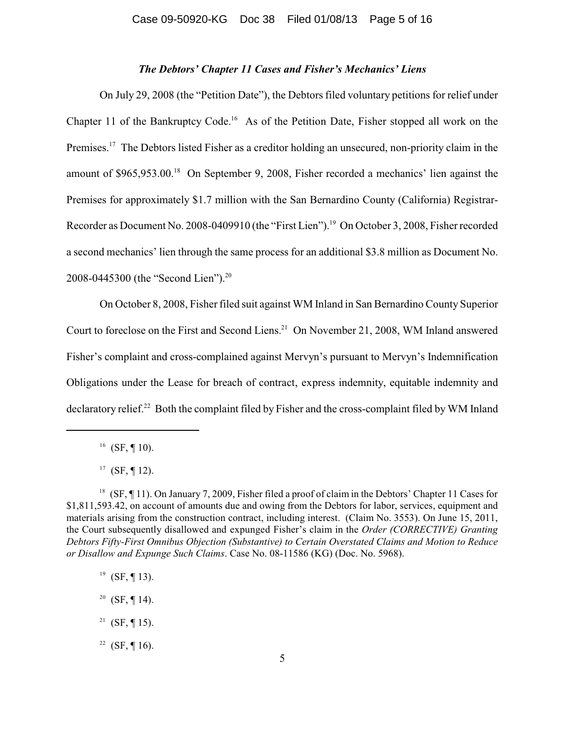### *The Debtors' Chapter 11 Cases and Fisher's Mechanics' Liens*

On July 29, 2008 (the "Petition Date"), the Debtors filed voluntary petitions for relief under Chapter 11 of the Bankruptcy Code.<sup>16</sup> As of the Petition Date, Fisher stopped all work on the Premises.<sup>17</sup> The Debtors listed Fisher as a creditor holding an unsecured, non-priority claim in the amount of  $$965,953.00$ .<sup>18</sup> On September 9, 2008, Fisher recorded a mechanics' lien against the Premises for approximately \$1.7 million with the San Bernardino County (California) Registrar-Recorder as Document No. 2008-0409910 (the "First Lien").<sup>19</sup> On October 3, 2008, Fisher recorded a second mechanics' lien through the same process for an additional \$3.8 million as Document No. 2008-0445300 (the "Second Lien"). 20

On October 8, 2008, Fisher filed suit against WM Inland in San Bernardino County Superior Court to foreclose on the First and Second Liens.<sup>21</sup> On November 21, 2008, WM Inland answered Fisher's complaint and cross-complained against Mervyn's pursuant to Mervyn's Indemnification Obligations under the Lease for breach of contract, express indemnity, equitable indemnity and declaratory relief.<sup>22</sup> Both the complaint filed by Fisher and the cross-complaint filed by WM Inland

<sup>16</sup> (SF, ¶ 10).

- $^{19}$  (SF, ¶ 13).
- <sup>20</sup> (SF, ¶ 14).
- <sup>21</sup> (SF, ¶ 15).
- <sup>22</sup> (SF, ¶ 16).

<sup>&</sup>lt;sup>17</sup> (SF, ¶ 12).

<sup>&</sup>lt;sup>18</sup> (SF, ¶ 11). On January 7, 2009, Fisher filed a proof of claim in the Debtors' Chapter 11 Cases for \$1,811,593.42, on account of amounts due and owing from the Debtors for labor, services, equipment and materials arising from the construction contract, including interest. (Claim No. 3553). On June 15, 2011, the Court subsequently disallowed and expunged Fisher's claim in the *Order (CORRECTIVE) Granting Debtors Fifty-First Omnibus Objection (Substantive) to Certain Overstated Claims and Motion to Reduce or Disallow and Expunge Such Claims*. Case No. 08-11586 (KG) (Doc. No. 5968).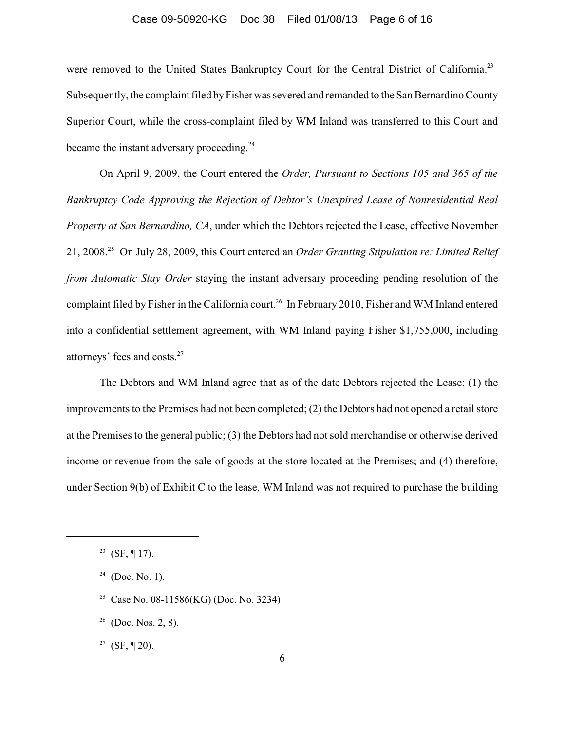#### Case 09-50920-KG Doc 38 Filed 01/08/13 Page 6 of 16

were removed to the United States Bankruptcy Court for the Central District of California.<sup>23</sup> Subsequently, the complaint filed by Fisher was severed and remanded to the San Bernardino County Superior Court, while the cross-complaint filed by WM Inland was transferred to this Court and became the instant adversary proceeding.<sup>24</sup>

On April 9, 2009, the Court entered the *Order, Pursuant to Sections 105 and 365 of the Bankruptcy Code Approving the Rejection of Debtor's Unexpired Lease of Nonresidential Real Property at San Bernardino, CA*, under which the Debtors rejected the Lease, effective November 21, 2008.<sup>25</sup> On July 28, 2009, this Court entered an *Order Granting Stipulation re: Limited Relief from Automatic Stay Order* staying the instant adversary proceeding pending resolution of the complaint filed by Fisher in the California court.<sup>26</sup> In February 2010, Fisher and WM Inland entered into a confidential settlement agreement, with WM Inland paying Fisher \$1,755,000, including attorneys' fees and costs.<sup>27</sup>

The Debtors and WM Inland agree that as of the date Debtors rejected the Lease: (1) the improvements to the Premises had not been completed; (2) the Debtors had not opened a retail store at the Premises to the general public; (3) the Debtors had not sold merchandise or otherwise derived income or revenue from the sale of goods at the store located at the Premises; and (4) therefore, under Section 9(b) of Exhibit C to the lease, WM Inland was not required to purchase the building

- <sup>25</sup> Case No. 08-11586(KG) (Doc. No. 3234)
- $26$  (Doc. Nos. 2, 8).
- <sup>27</sup> (SF, ¶ 20).

<sup>&</sup>lt;sup>23</sup> (SF, ¶ 17).

 $24$  (Doc. No. 1).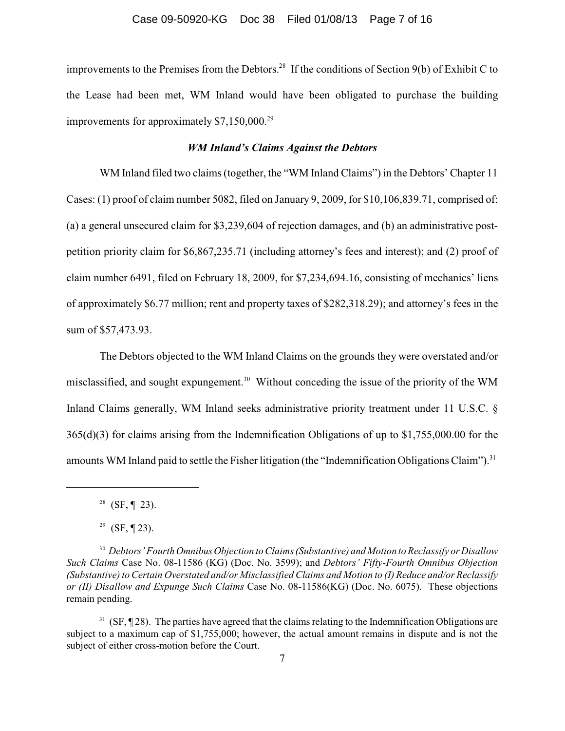improvements to the Premises from the Debtors.<sup>28</sup> If the conditions of Section 9(b) of Exhibit C to the Lease had been met, WM Inland would have been obligated to purchase the building improvements for approximately  $$7,150,000.<sup>29</sup>$ 

## *WM Inland's Claims Against the Debtors*

WM Inland filed two claims (together, the "WM Inland Claims") in the Debtors' Chapter 11 Cases: (1) proof of claim number 5082, filed on January 9, 2009, for \$10,106,839.71, comprised of: (a) a general unsecured claim for \$3,239,604 of rejection damages, and (b) an administrative postpetition priority claim for \$6,867,235.71 (including attorney's fees and interest); and (2) proof of claim number 6491, filed on February 18, 2009, for \$7,234,694.16, consisting of mechanics' liens of approximately \$6.77 million; rent and property taxes of \$282,318.29); and attorney's fees in the sum of \$57,473.93.

The Debtors objected to the WM Inland Claims on the grounds they were overstated and/or misclassified, and sought expungement.<sup>30</sup> Without conceding the issue of the priority of the WM Inland Claims generally, WM Inland seeks administrative priority treatment under 11 U.S.C. § 365(d)(3) for claims arising from the Indemnification Obligations of up to \$1,755,000.00 for the amounts WM Inland paid to settle the Fisher litigation (the "Indemnification Obligations Claim").<sup>31</sup>

<sup>&</sup>lt;sup>28</sup> (SF, ¶ 23).

<sup>&</sup>lt;sup>29</sup> (SF, ¶ 23).

<sup>&</sup>lt;sup>30</sup> Debtors' Fourth Omnibus Objection to Claims (Substantive) and Motion to Reclassify or Disallow *Such Claims* Case No. 08-11586 (KG) (Doc. No. 3599); and *Debtors' Fifty-Fourth Omnibus Objection (Substantive) to Certain Overstated and/or Misclassified Claims and Motion to (I) Reduce and/or Reclassify or (II) Disallow and Expunge Such Claims* Case No. 08-11586(KG) (Doc. No. 6075). These objections remain pending.

 $31$  (SF,  $\P$  28). The parties have agreed that the claims relating to the Indemnification Obligations are subject to a maximum cap of \$1,755,000; however, the actual amount remains in dispute and is not the subject of either cross-motion before the Court.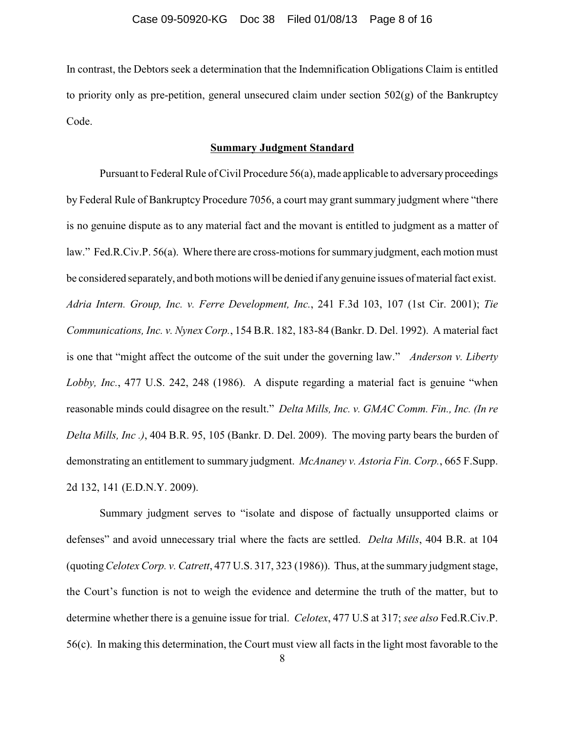In contrast, the Debtors seek a determination that the Indemnification Obligations Claim is entitled to priority only as pre-petition, general unsecured claim under section 502(g) of the Bankruptcy Code.

## **Summary Judgment Standard**

Pursuant to Federal Rule of Civil Procedure  $56(a)$ , made applicable to adversary proceedings by Federal Rule of Bankruptcy Procedure 7056, a court may grant summary judgment where "there is no genuine dispute as to any material fact and the movant is entitled to judgment as a matter of law." Fed.R.Civ.P. 56(a). Where there are cross-motions for summary judgment, each motion must be considered separately, and both motions will be denied if anygenuine issues of material fact exist. *Adria Intern. Group, Inc. v. Ferre Development, Inc.*, 241 F.3d 103, 107 (1st Cir. 2001); *Tie Communications, Inc. v. Nynex Corp.*, 154 B.R. 182, 183-84 (Bankr. D. Del. 1992). A material fact is one that "might affect the outcome of the suit under the governing law." *Anderson v. Liberty Lobby, Inc.*, 477 U.S. 242, 248 (1986). A dispute regarding a material fact is genuine "when reasonable minds could disagree on the result." *Delta Mills, Inc. v. GMAC Comm. Fin., Inc. (In re Delta Mills, Inc .)*, 404 B.R. 95, 105 (Bankr. D. Del. 2009). The moving party bears the burden of demonstrating an entitlement to summary judgment. *McAnaney v. Astoria Fin. Corp.*, 665 F.Supp. 2d 132, 141 (E.D.N.Y. 2009).

Summary judgment serves to "isolate and dispose of factually unsupported claims or defenses" and avoid unnecessary trial where the facts are settled. *Delta Mills*, 404 B.R. at 104 (quoting*Celotex Corp. v. Catrett*, 477 U.S. 317, 323 (1986)). Thus, at the summary judgment stage, the Court's function is not to weigh the evidence and determine the truth of the matter, but to determine whether there is a genuine issue for trial. *Celotex*, 477 U.S at 317; *see also* Fed.R.Civ.P. 56(c). In making this determination, the Court must view all facts in the light most favorable to the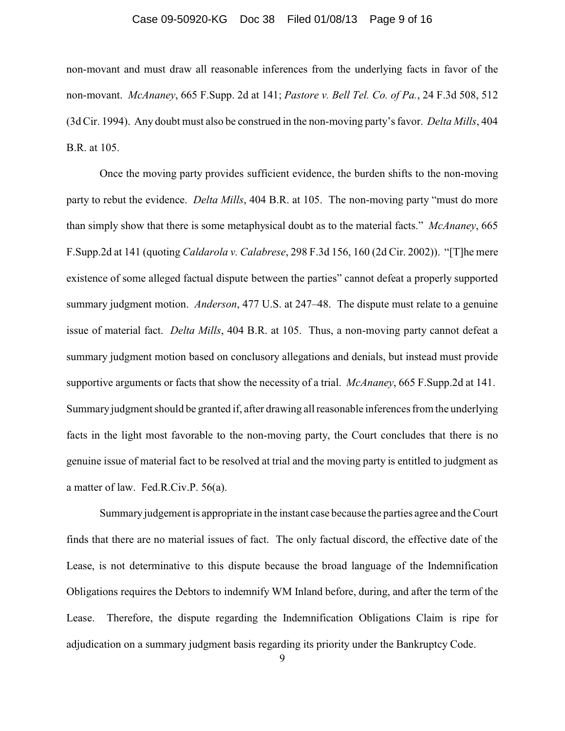#### Case 09-50920-KG Doc 38 Filed 01/08/13 Page 9 of 16

non-movant and must draw all reasonable inferences from the underlying facts in favor of the non-movant. *McAnaney*, 665 F.Supp. 2d at 141; *Pastore v. Bell Tel. Co. of Pa.*, 24 F.3d 508, 512 (3d Cir. 1994). Any doubt must also be construed in the non-moving party's favor. *Delta Mills*, 404 B.R. at 105.

Once the moving party provides sufficient evidence, the burden shifts to the non-moving party to rebut the evidence. *Delta Mills*, 404 B.R. at 105. The non-moving party "must do more than simply show that there is some metaphysical doubt as to the material facts." *McAnaney*, 665 F.Supp.2d at 141 (quoting *Caldarola v. Calabrese*, 298 F.3d 156, 160 (2d Cir. 2002)). "[T]he mere existence of some alleged factual dispute between the parties" cannot defeat a properly supported summary judgment motion. *Anderson*, 477 U.S. at 247–48. The dispute must relate to a genuine issue of material fact. *Delta Mills*, 404 B.R. at 105. Thus, a non-moving party cannot defeat a summary judgment motion based on conclusory allegations and denials, but instead must provide supportive arguments or facts that show the necessity of a trial. *McAnaney*, 665 F.Supp.2d at 141. Summary judgment should be granted if, after drawing all reasonable inferences from the underlying facts in the light most favorable to the non-moving party, the Court concludes that there is no genuine issue of material fact to be resolved at trial and the moving party is entitled to judgment as a matter of law. Fed.R.Civ.P. 56(a).

Summary judgement is appropriate in the instant case because the parties agree and the Court finds that there are no material issues of fact. The only factual discord, the effective date of the Lease, is not determinative to this dispute because the broad language of the Indemnification Obligations requires the Debtors to indemnify WM Inland before, during, and after the term of the Lease. Therefore, the dispute regarding the Indemnification Obligations Claim is ripe for adjudication on a summary judgment basis regarding its priority under the Bankruptcy Code.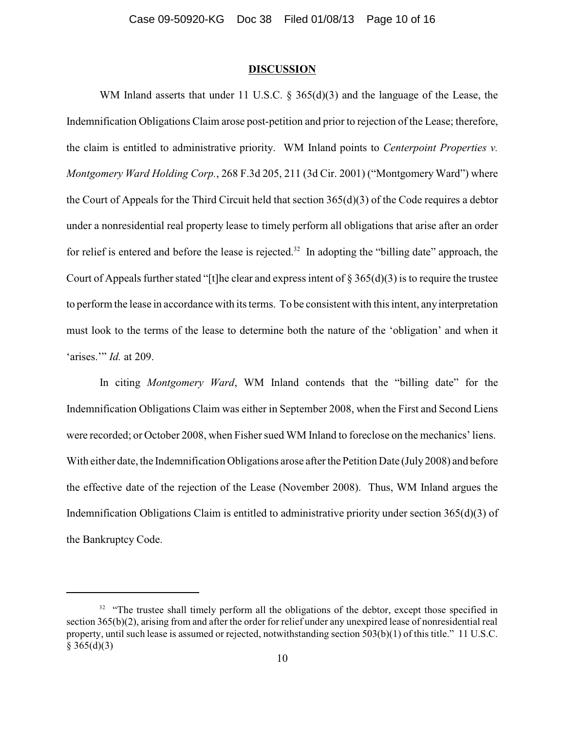### **DISCUSSION**

WM Inland asserts that under 11 U.S.C. § 365(d)(3) and the language of the Lease, the Indemnification Obligations Claim arose post-petition and prior to rejection of the Lease; therefore, the claim is entitled to administrative priority. WM Inland points to *Centerpoint Properties v. Montgomery Ward Holding Corp.*, 268 F.3d 205, 211 (3d Cir. 2001) ("Montgomery Ward") where the Court of Appeals for the Third Circuit held that section 365(d)(3) of the Code requires a debtor under a nonresidential real property lease to timely perform all obligations that arise after an order for relief is entered and before the lease is rejected.<sup>32</sup> In adopting the "billing date" approach, the Court of Appeals further stated "[t]he clear and express intent of  $\S 365(d)(3)$  is to require the trustee to perform the lease in accordance with its terms. To be consistent with this intent, any interpretation must look to the terms of the lease to determine both the nature of the 'obligation' and when it 'arises.'" *Id.* at 209.

In citing *Montgomery Ward*, WM Inland contends that the "billing date" for the Indemnification Obligations Claim was either in September 2008, when the First and Second Liens were recorded; or October 2008, when Fisher sued WM Inland to foreclose on the mechanics' liens. With either date, the Indemnification Obligations arose after the Petition Date (July 2008) and before the effective date of the rejection of the Lease (November 2008). Thus, WM Inland argues the Indemnification Obligations Claim is entitled to administrative priority under section 365(d)(3) of the Bankruptcy Code.

<sup>&</sup>lt;sup>32</sup> "The trustee shall timely perform all the obligations of the debtor, except those specified in section 365(b)(2), arising from and after the order for relief under any unexpired lease of nonresidential real property, until such lease is assumed or rejected, notwithstanding section 503(b)(1) of this title." 11 U.S.C.  $§ 365(d)(3)$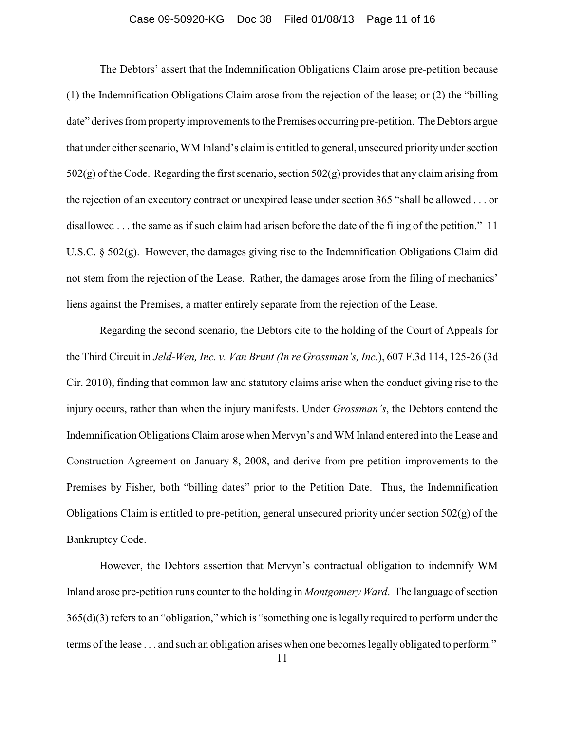### Case 09-50920-KG Doc 38 Filed 01/08/13 Page 11 of 16

The Debtors' assert that the Indemnification Obligations Claim arose pre-petition because (1) the Indemnification Obligations Claim arose from the rejection of the lease; or (2) the "billing date" derives from property improvements to the Premises occurring pre-petition. The Debtors argue that under either scenario, WM Inland's claim is entitled to general, unsecured priority under section  $502(g)$  of the Code. Regarding the first scenario, section  $502(g)$  provides that any claim arising from the rejection of an executory contract or unexpired lease under section 365 "shall be allowed . . . or disallowed . . . the same as if such claim had arisen before the date of the filing of the petition." 11 U.S.C. § 502(g). However, the damages giving rise to the Indemnification Obligations Claim did not stem from the rejection of the Lease. Rather, the damages arose from the filing of mechanics' liens against the Premises, a matter entirely separate from the rejection of the Lease.

Regarding the second scenario, the Debtors cite to the holding of the Court of Appeals for the Third Circuit in *Jeld-Wen, Inc. v. Van Brunt (In re Grossman's, Inc.*), 607 F.3d 114, 125-26 (3d Cir. 2010), finding that common law and statutory claims arise when the conduct giving rise to the injury occurs, rather than when the injury manifests. Under *Grossman's*, the Debtors contend the Indemnification Obligations Claim arose when Mervyn's and WM Inland entered into the Lease and Construction Agreement on January 8, 2008, and derive from pre-petition improvements to the Premises by Fisher, both "billing dates" prior to the Petition Date. Thus, the Indemnification Obligations Claim is entitled to pre-petition, general unsecured priority under section 502(g) of the Bankruptcy Code.

However, the Debtors assertion that Mervyn's contractual obligation to indemnify WM Inland arose pre-petition runs counter to the holding in *Montgomery Ward*. The language of section 365(d)(3) refers to an "obligation," which is "something one is legally required to perform under the terms of the lease . . . and such an obligation arises when one becomes legally obligated to perform."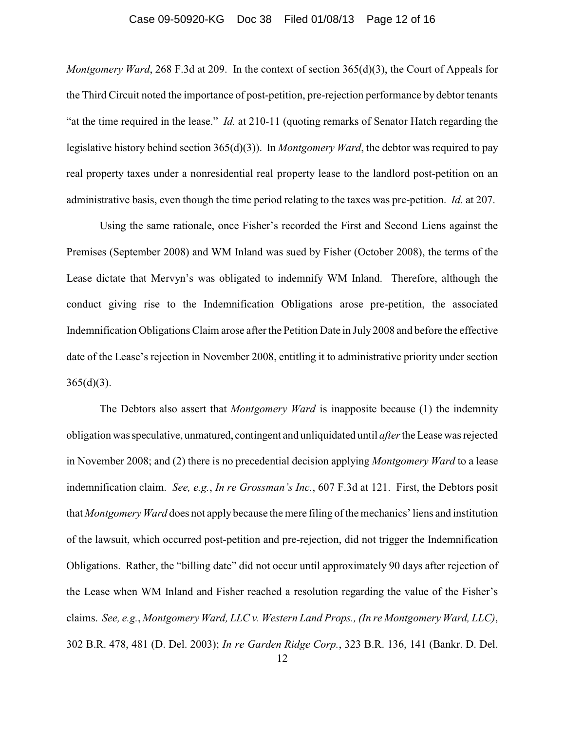#### Case 09-50920-KG Doc 38 Filed 01/08/13 Page 12 of 16

*Montgomery Ward*, 268 F.3d at 209. In the context of section 365(d)(3), the Court of Appeals for the Third Circuit noted the importance of post-petition, pre-rejection performance by debtor tenants "at the time required in the lease." *Id.* at 210-11 (quoting remarks of Senator Hatch regarding the legislative history behind section 365(d)(3)). In *Montgomery Ward*, the debtor was required to pay real property taxes under a nonresidential real property lease to the landlord post-petition on an administrative basis, even though the time period relating to the taxes was pre-petition. *Id.* at 207.

Using the same rationale, once Fisher's recorded the First and Second Liens against the Premises (September 2008) and WM Inland was sued by Fisher (October 2008), the terms of the Lease dictate that Mervyn's was obligated to indemnify WM Inland. Therefore, although the conduct giving rise to the Indemnification Obligations arose pre-petition, the associated Indemnification Obligations Claim arose after the Petition Date in July 2008 and before the effective date of the Lease's rejection in November 2008, entitling it to administrative priority under section  $365(d)(3)$ .

The Debtors also assert that *Montgomery Ward* is inapposite because (1) the indemnity obligation was speculative, unmatured, contingent and unliquidated until *after* the Leasewas rejected in November 2008; and (2) there is no precedential decision applying *Montgomery Ward* to a lease indemnification claim. *See, e.g.*, *In re Grossman's Inc.*, 607 F.3d at 121. First, the Debtors posit that *Montgomery Ward* does not apply because the mere filing of the mechanics' liens and institution of the lawsuit, which occurred post-petition and pre-rejection, did not trigger the Indemnification Obligations. Rather, the "billing date" did not occur until approximately 90 days after rejection of the Lease when WM Inland and Fisher reached a resolution regarding the value of the Fisher's claims. *See, e.g.*, *Montgomery Ward, LLC v. Western Land Props., (In re Montgomery Ward, LLC)*, 302 B.R. 478, 481 (D. Del. 2003); *In re Garden Ridge Corp.*, 323 B.R. 136, 141 (Bankr. D. Del.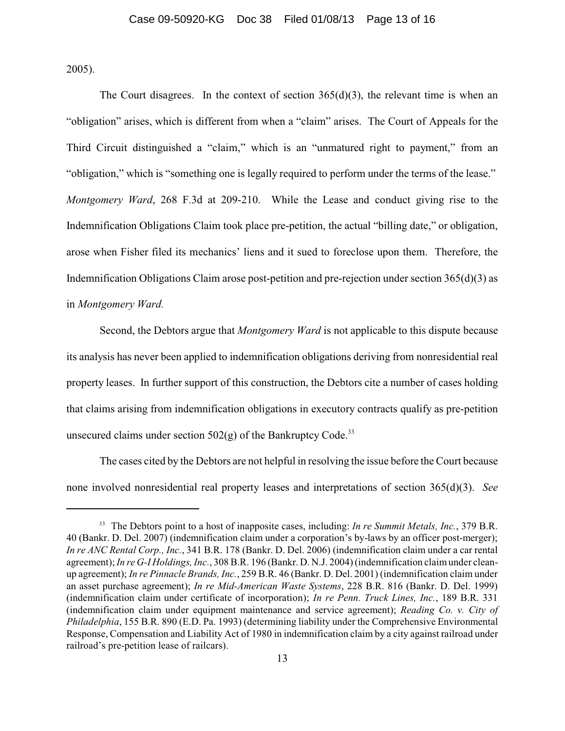2005).

The Court disagrees. In the context of section  $365(d)(3)$ , the relevant time is when an "obligation" arises, which is different from when a "claim" arises. The Court of Appeals for the Third Circuit distinguished a "claim," which is an "unmatured right to payment," from an "obligation," which is "something one is legally required to perform under the terms of the lease." *Montgomery Ward*, 268 F.3d at 209-210. While the Lease and conduct giving rise to the Indemnification Obligations Claim took place pre-petition, the actual "billing date," or obligation, arose when Fisher filed its mechanics' liens and it sued to foreclose upon them. Therefore, the Indemnification Obligations Claim arose post-petition and pre-rejection under section 365(d)(3) as in *Montgomery Ward.*

Second, the Debtors argue that *Montgomery Ward* is not applicable to this dispute because its analysis has never been applied to indemnification obligations deriving from nonresidential real property leases. In further support of this construction, the Debtors cite a number of cases holding that claims arising from indemnification obligations in executory contracts qualify as pre-petition unsecured claims under section  $502(g)$  of the Bankruptcy Code.<sup>33</sup>

The cases cited by the Debtors are not helpful in resolving the issue before the Court because none involved nonresidential real property leases and interpretations of section 365(d)(3). *See*

<sup>&</sup>lt;sup>33</sup> The Debtors point to a host of inapposite cases, including: *In re Summit Metals, Inc.*, 379 B.R. 40 (Bankr. D. Del. 2007) (indemnification claim under a corporation's by-laws by an officer post-merger); *In re ANC Rental Corp., Inc.*, 341 B.R. 178 (Bankr. D. Del. 2006) (indemnification claim under a car rental agreement);*In re G-I Holdings, Inc.*, 308 B.R. 196 (Bankr. D. N.J. 2004) (indemnification claimunder cleanup agreement); *In re Pinnacle Brands, Inc.*, 259 B.R. 46 (Bankr. D. Del. 2001) (indemnification claim under an asset purchase agreement); *In re Mid-American Waste Systems*, 228 B.R. 816 (Bankr. D. Del. 1999) (indemnification claim under certificate of incorporation); *In re Penn. Truck Lines, Inc.*, 189 B.R. 331 (indemnification claim under equipment maintenance and service agreement); *Reading Co. v. City of Philadelphia*, 155 B.R. 890 (E.D. Pa. 1993) (determining liability under the Comprehensive Environmental Response, Compensation and Liability Act of 1980 in indemnification claim by a city against railroad under railroad's pre-petition lease of railcars).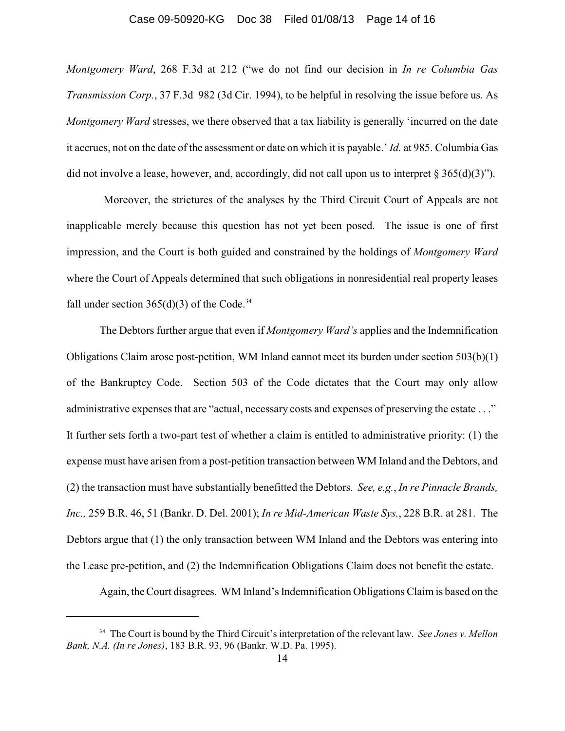#### Case 09-50920-KG Doc 38 Filed 01/08/13 Page 14 of 16

*Montgomery Ward*, 268 F.3d at 212 ("we do not find our decision in *In re Columbia Gas Transmission Corp.*, 37 F.3d 982 (3d Cir. 1994), to be helpful in resolving the issue before us. As *Montgomery Ward* stresses, we there observed that a tax liability is generally 'incurred on the date it accrues, not on the date of the assessment or date on which it is payable.' *Id.* at 985. Columbia Gas did not involve a lease, however, and, accordingly, did not call upon us to interpret  $\S 365(d)(3)$ ").

Moreover, the strictures of the analyses by the Third Circuit Court of Appeals are not inapplicable merely because this question has not yet been posed. The issue is one of first impression, and the Court is both guided and constrained by the holdings of *Montgomery Ward* where the Court of Appeals determined that such obligations in nonresidential real property leases fall under section  $365(d)(3)$  of the Code.<sup>34</sup>

The Debtors further argue that even if *Montgomery Ward's* applies and the Indemnification Obligations Claim arose post-petition, WM Inland cannot meet its burden under section 503(b)(1) of the Bankruptcy Code. Section 503 of the Code dictates that the Court may only allow administrative expenses that are "actual, necessary costs and expenses of preserving the estate . . ." It further sets forth a two-part test of whether a claim is entitled to administrative priority: (1) the expense must have arisen from a post-petition transaction between WM Inland and the Debtors, and (2) the transaction must have substantially benefitted the Debtors. *See, e.g.*, *In re Pinnacle Brands, Inc.,* 259 B.R. 46, 51 (Bankr. D. Del. 2001); *In re Mid-American Waste Sys.*, 228 B.R. at 281. The Debtors argue that (1) the only transaction between WM Inland and the Debtors was entering into the Lease pre-petition, and (2) the Indemnification Obligations Claim does not benefit the estate.

Again, the Court disagrees. WM Inland's Indemnification Obligations Claim is based on the

<sup>&</sup>lt;sup>34</sup> The Court is bound by the Third Circuit's interpretation of the relevant law. *See Jones v. Mellon Bank, N.A. (In re Jones)*, 183 B.R. 93, 96 (Bankr. W.D. Pa. 1995).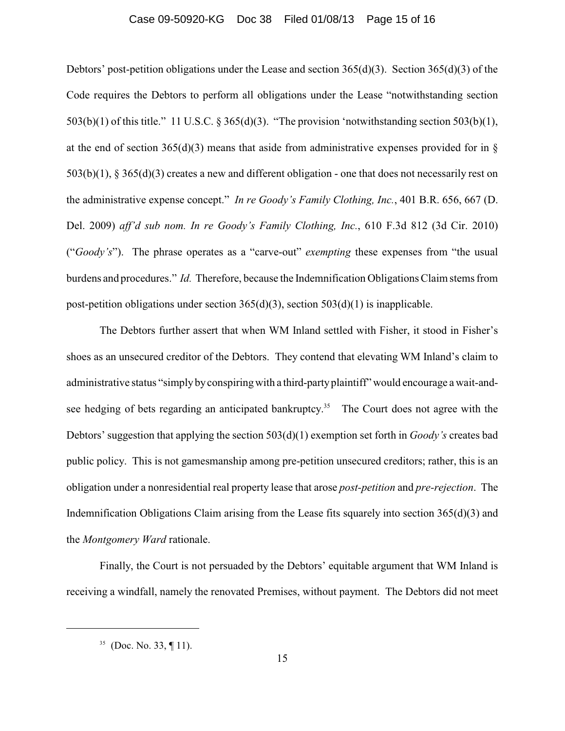#### Case 09-50920-KG Doc 38 Filed 01/08/13 Page 15 of 16

Debtors' post-petition obligations under the Lease and section  $365(d)(3)$ . Section  $365(d)(3)$  of the Code requires the Debtors to perform all obligations under the Lease "notwithstanding section 503(b)(1) of this title." 11 U.S.C. § 365(d)(3). "The provision 'notwithstanding section 503(b)(1), at the end of section  $365(d)(3)$  means that aside from administrative expenses provided for in § 503(b)(1), § 365(d)(3) creates a new and different obligation - one that does not necessarily rest on the administrative expense concept." *In re Goody's Family Clothing, Inc.*, 401 B.R. 656, 667 (D. Del. 2009) *aff'd sub nom. In re Goody's Family Clothing, Inc.*, 610 F.3d 812 (3d Cir. 2010) ("*Goody's*"). The phrase operates as a "carve-out" *exempting* these expenses from "the usual burdens and procedures." *Id.* Therefore, because the Indemnification Obligations Claim stems from post-petition obligations under section 365(d)(3), section 503(d)(1) is inapplicable.

The Debtors further assert that when WM Inland settled with Fisher, it stood in Fisher's shoes as an unsecured creditor of the Debtors. They contend that elevating WM Inland's claim to administrative status "simplybyconspiringwith a third-partyplaintiff" would encourage a wait-andsee hedging of bets regarding an anticipated bankruptcy.<sup>35</sup> The Court does not agree with the Debtors' suggestion that applying the section 503(d)(1) exemption set forth in *Goody's* creates bad public policy. This is not gamesmanship among pre-petition unsecured creditors; rather, this is an obligation under a nonresidential real property lease that arose *post-petition* and *pre-rejection*. The Indemnification Obligations Claim arising from the Lease fits squarely into section 365(d)(3) and the *Montgomery Ward* rationale.

Finally, the Court is not persuaded by the Debtors' equitable argument that WM Inland is receiving a windfall, namely the renovated Premises, without payment. The Debtors did not meet

 $35$  (Doc. No. 33, ¶ 11).